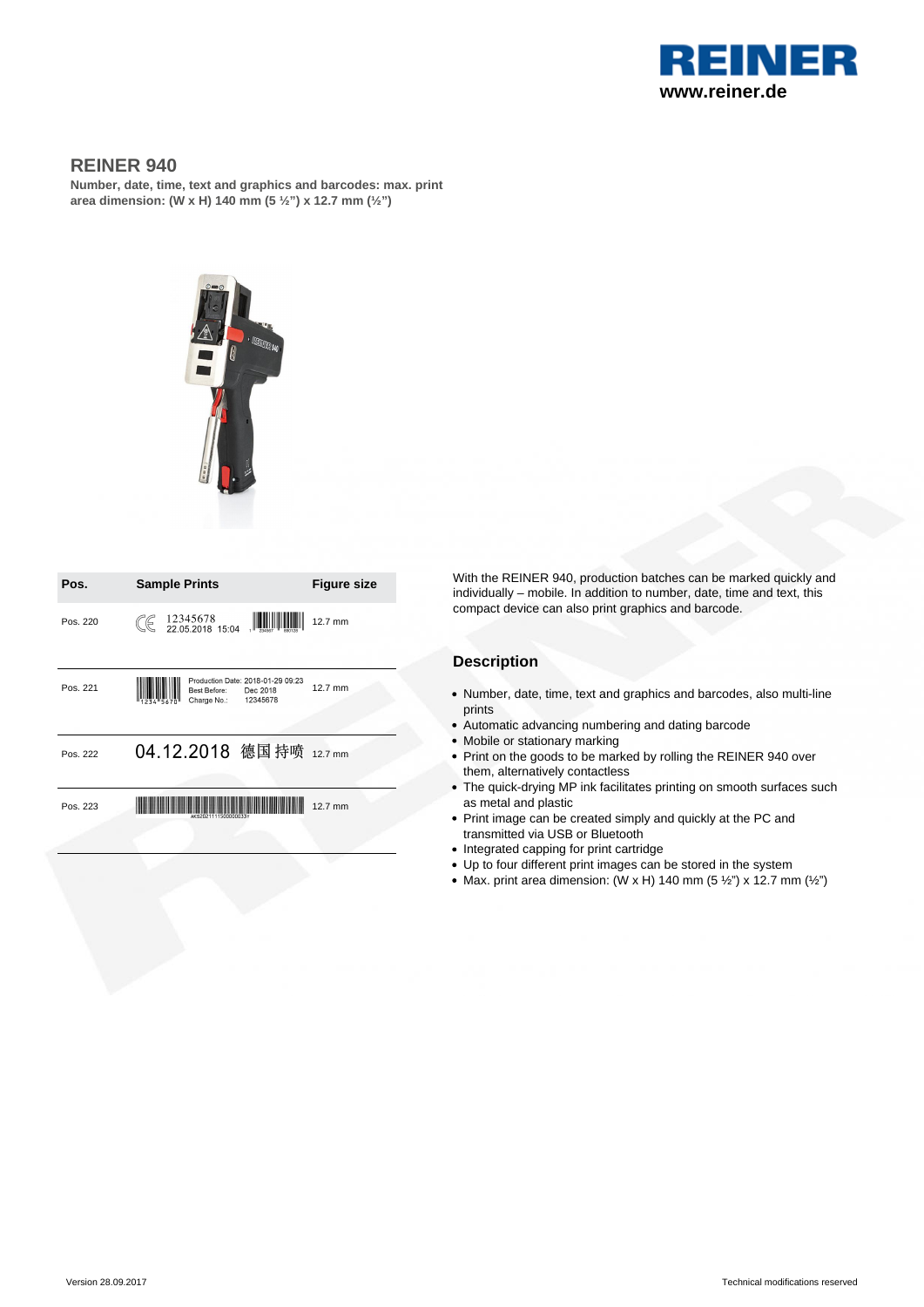

## **REINER 940**

**Number, date, time, text and graphics and barcodes: max. print area dimension: (W x H) 140 mm (5 ½") x 12.7 mm (½")**



| Pos.     | <b>Sample Prints</b>                                                                     | <b>Figure size</b> |
|----------|------------------------------------------------------------------------------------------|--------------------|
| Pos. 220 | $\frac{1}{234587}$ $\frac{1}{80018}$<br>$\mathbb{C}$ 12345678<br>22.05.2018 15:04        | 12.7 mm            |
| Pos. 221 | Production Date: 2018-01-29 09:23<br>Best Before:<br>Dec 2018<br>12345678<br>Charge No.: | 12.7 mm            |
| Pos. 222 | 04.12.2018 德国持喷 12.7 mm                                                                  |                    |
| Pos. 223 |                                                                                          | 12.7 mm            |

With the REINER 940, production batches can be marked quickly and individually – mobile. In addition to number, date, time and text, this compact device can also print graphics and barcode.

### **Description**

- Number, date, time, text and graphics and barcodes, also multi-line prints
- Automatic advancing numbering and dating barcode
- Mobile or stationary marking
- Print on the goods to be marked by rolling the REINER 940 over them, alternatively contactless
- The quick-drying MP ink facilitates printing on smooth surfaces such as metal and plastic
- Print image can be created simply and quickly at the PC and transmitted via USB or Bluetooth
- Integrated capping for print cartridge
- Up to four different print images can be stored in the system
- Max. print area dimension: (W x H) 140 mm (5  $\frac{1}{2}$ ") x 12.7 mm ( $\frac{1}{2}$ ")